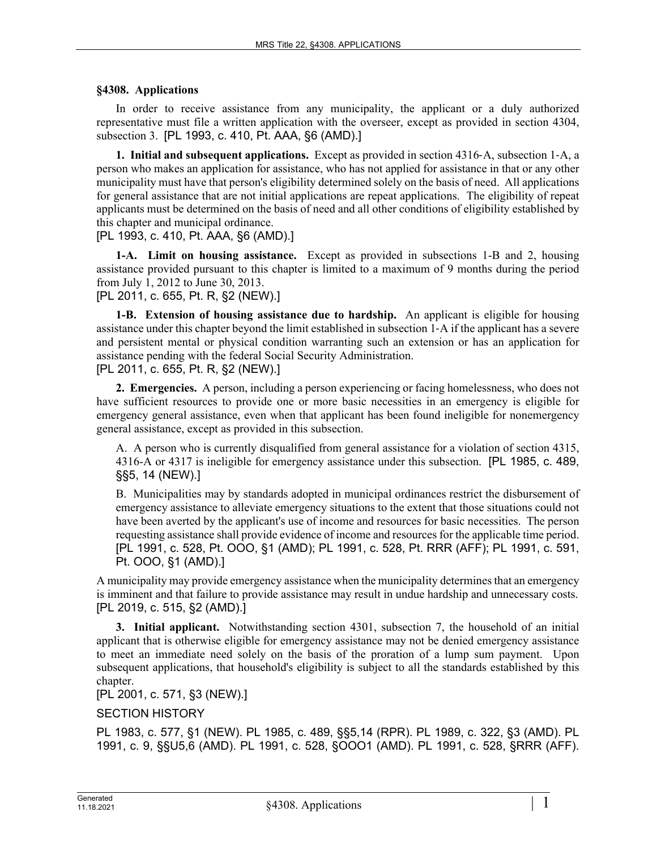## **§4308. Applications**

In order to receive assistance from any municipality, the applicant or a duly authorized representative must file a written application with the overseer, except as provided in section 4304, subsection 3. [PL 1993, c. 410, Pt. AAA, §6 (AMD).]

**1. Initial and subsequent applications.** Except as provided in section 4316‑A, subsection 1‑A, a person who makes an application for assistance, who has not applied for assistance in that or any other municipality must have that person's eligibility determined solely on the basis of need. All applications for general assistance that are not initial applications are repeat applications. The eligibility of repeat applicants must be determined on the basis of need and all other conditions of eligibility established by this chapter and municipal ordinance.

[PL 1993, c. 410, Pt. AAA, §6 (AMD).]

**1-A. Limit on housing assistance.** Except as provided in subsections 1-B and 2, housing assistance provided pursuant to this chapter is limited to a maximum of 9 months during the period from July 1, 2012 to June 30, 2013.

[PL 2011, c. 655, Pt. R, §2 (NEW).]

**1-B. Extension of housing assistance due to hardship.** An applicant is eligible for housing assistance under this chapter beyond the limit established in subsection 1‑A if the applicant has a severe and persistent mental or physical condition warranting such an extension or has an application for assistance pending with the federal Social Security Administration.

[PL 2011, c. 655, Pt. R, §2 (NEW).]

**2. Emergencies.** A person, including a person experiencing or facing homelessness, who does not have sufficient resources to provide one or more basic necessities in an emergency is eligible for emergency general assistance, even when that applicant has been found ineligible for nonemergency general assistance, except as provided in this subsection.

A. A person who is currently disqualified from general assistance for a violation of section 4315, 4316-A or 4317 is ineligible for emergency assistance under this subsection. [PL 1985, c. 489, §§5, 14 (NEW).]

B. Municipalities may by standards adopted in municipal ordinances restrict the disbursement of emergency assistance to alleviate emergency situations to the extent that those situations could not have been averted by the applicant's use of income and resources for basic necessities. The person requesting assistance shall provide evidence of income and resources for the applicable time period. [PL 1991, c. 528, Pt. OOO, §1 (AMD); PL 1991, c. 528, Pt. RRR (AFF); PL 1991, c. 591, Pt. OOO, §1 (AMD).]

A municipality may provide emergency assistance when the municipality determines that an emergency is imminent and that failure to provide assistance may result in undue hardship and unnecessary costs. [PL 2019, c. 515, §2 (AMD).]

**3. Initial applicant.** Notwithstanding section 4301, subsection 7, the household of an initial applicant that is otherwise eligible for emergency assistance may not be denied emergency assistance to meet an immediate need solely on the basis of the proration of a lump sum payment. Upon subsequent applications, that household's eligibility is subject to all the standards established by this chapter.

[PL 2001, c. 571, §3 (NEW).]

## SECTION HISTORY

PL 1983, c. 577, §1 (NEW). PL 1985, c. 489, §§5,14 (RPR). PL 1989, c. 322, §3 (AMD). PL 1991, c. 9, §§U5,6 (AMD). PL 1991, c. 528, §OOO1 (AMD). PL 1991, c. 528, §RRR (AFF).